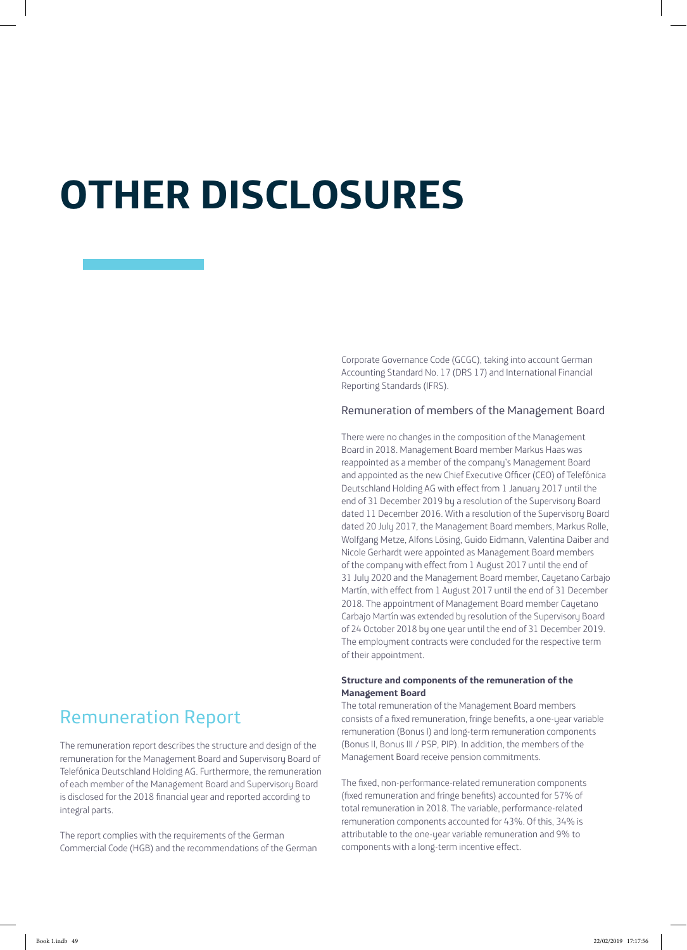# **OTHER DISCLOSURES**

Corporate Governance Code (GCGC), taking into account German Accounting Standard No. 17 (DRS 17) and International Financial Reporting Standards (IFRS).

# Remuneration of members of the Management Board

There were no changes in the composition of the Management Board in 2018. Management Board member Markus Haas was reappointed as a member of the company's Management Board and appointed as the new Chief Executive Officer (CEO) of Telefónica Deutschland Holding AG with effect from 1 January 2017 until the end of 31 December 2019 by a resolution of the Supervisory Board dated 11 December 2016. With a resolution of the Supervisory Board dated 20 July 2017, the Management Board members, Markus Rolle, Wolfgang Metze, Alfons Lösing, Guido Eidmann, Valentina Daiber and Nicole Gerhardt were appointed as Management Board members of the company with effect from 1 August 2017 until the end of 31 July 2020 and the Management Board member, Cayetano Carbajo Martín, with effect from 1 August 2017 until the end of 31 December 2018. The appointment of Management Board member Cayetano Carbajo Martín was extended by resolution of the Supervisory Board of 24 October 2018 by one year until the end of 31 December 2019. The employment contracts were concluded for the respective term of their appointment.

# **Structure and components of the remuneration of the Management Board**

The total remuneration of the Management Board members consists of a fixed remuneration, fringe benefits, a one-year variable remuneration (Bonus I) and long-term remuneration components (Bonus II, Bonus III / PSP, PIP). In addition, the members of the Management Board receive pension commitments.

The fixed, non-performance-related remuneration components (fixed remuneration and fringe benefits) accounted for 57% of total remuneration in 2018. The variable, performance-related remuneration components accounted for 43%. Of this, 34% is attributable to the one-year variable remuneration and 9% to components with a long-term incentive effect.

# Remuneration Report

The remuneration report describes the structure and design of the remuneration for the Management Board and Supervisory Board of Telefónica Deutschland Holding AG. Furthermore, the remuneration of each member of the Management Board and Supervisory Board is disclosed for the 2018 financial year and reported according to integral parts.

The report complies with the requirements of the German Commercial Code (HGB) and the recommendations of the German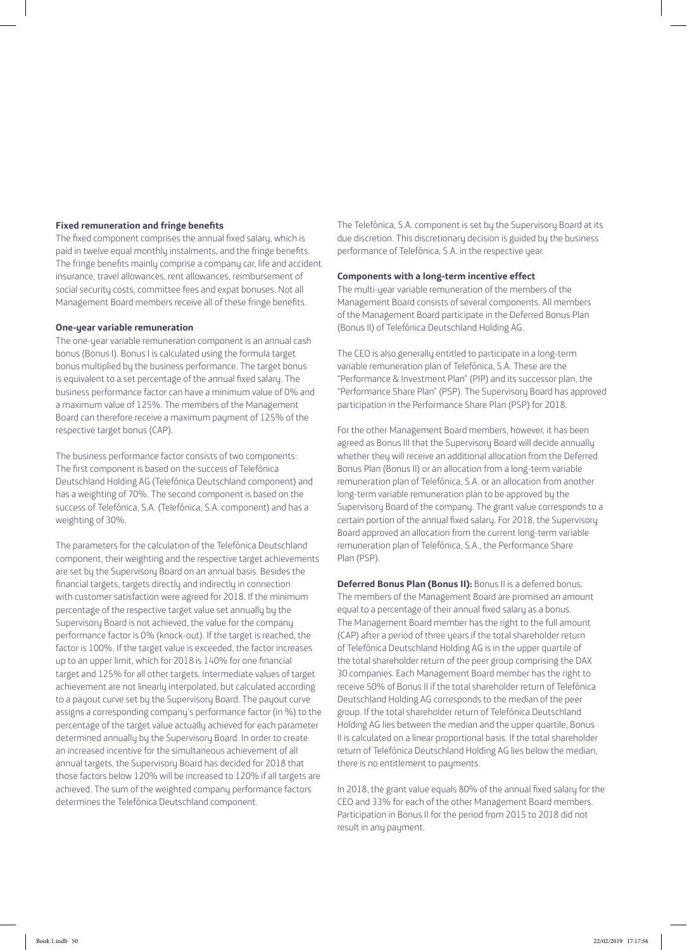#### **Fixed remuneration and fringe benefits**

The fixed component comprises the annual fixed salary, which is paid in twelve equal monthly instalments, and the fringe benefits. The fringe benefits mainly comprise a company car, life and accident insurance, travel allowances, rent allowances, reimbursement of social security costs, committee fees and expat bonuses. Not all Management Board members receive all of these fringe benefits.

#### **One-year variable remuneration**

The one-year variable remuneration component is an annual cash bonus (Bonus I). Bonus I is calculated using the formula target bonus multiplied by the business performance. The target bonus is equivalent to a set percentage of the annual fixed salary. The business performance factor can have a minimum value of 0% and a maximum value of 125%. The members of the Management Board can therefore receive a maximum payment of 125% of the respective target bonus (CAP).

The business performance factor consists of two components: The first component is based on the success of Telefónica Deutschland Holding AG (Telefónica Deutschland component) and has a weighting of 70%. The second component is based on the success of Telefónica, S.A. (Telefónica, S.A. component) and has a weighting of 30%.

The parameters for the calculation of the Telefónica Deutschland component, their weighting and the respective target achievements are set by the Supervisory Board on an annual basis. Besides the financial targets, targets directly and indirectly in connection with customer satisfaction were agreed for 2018. If the minimum percentage of the respective target value set annually by the Supervisory Board is not achieved, the value for the company performance factor is 0% (knock-out). If the target is reached, the factor is 100%. If the target value is exceeded, the factor increases up to an upper limit, which for 2018 is 140% for one financial target and 125% for all other targets. Intermediate values of target achievement are not linearly interpolated, but calculated according to a payout curve set by the Supervisory Board. The payout curve assigns a corresponding company's performance factor (in %) to the percentage of the target value actually achieved for each parameter determined annually by the Supervisory Board. In order to create an increased incentive for the simultaneous achievement of all annual targets, the Supervisory Board has decided for 2018 that those factors below 120% will be increased to 120% if all targets are achieved. The sum of the weighted company performance factors determines the Telefónica Deutschland component.

The Telefónica, S.A. component is set by the Supervisory Board at its due discretion. This discretionary decision is guided by the business performance of Telefónica, S.A. in the respective year.

# **Components with a long-term incentive effect**

The multi-year variable remuneration of the members of the Management Board consists of several components. All members of the Management Board participate in the Deferred Bonus Plan (Bonus II) of Telefónica Deutschland Holding AG.

The CEO is also generally entitled to participate in a long-term variable remuneration plan of Telefónica, S.A. These are the "Performance & Investment Plan" (PIP) and its successor plan, the "Performance Share Plan" (PSP). The Supervisory Board has approved participation in the Performance Share Plan (PSP) for 2018.

For the other Management Board members, however, it has been agreed as Bonus III that the Supervisory Board will decide annually whether they will receive an additional allocation from the Deferred Bonus Plan (Bonus II) or an allocation from a long-term variable remuneration plan of Telefónica, S.A. or an allocation from another long-term variable remuneration plan to be approved by the Supervisory Board of the company. The grant value corresponds to a certain portion of the annual fixed salary. For 2018, the Supervisory Board approved an allocation from the current long-term variable remuneration plan of Telefónica, S.A., the Performance Share Plan (PSP).

**Deferred Bonus Plan (Bonus II):** Bonus II is a deferred bonus. The members of the Management Board are promised an amount equal to a percentage of their annual fixed salary as a bonus. The Management Board member has the right to the full amount (CAP) after a period of three years if the total shareholder return of Telefónica Deutschland Holding AG is in the upper quartile of the total shareholder return of the peer group comprising the DAX 30 companies. Each Management Board member has the right to receive 50% of Bonus II if the total shareholder return of Telefónica Deutschland Holding AG corresponds to the median of the peer group. If the total shareholder return of Telefónica Deutschland Holding AG lies between the median and the upper quartile, Bonus II is calculated on a linear proportional basis. If the total shareholder return of Telefónica Deutschland Holding AG lies below the median, there is no entitlement to payments.

In 2018, the grant value equals 80% of the annual fixed salary for the CEO and 33% for each of the other Management Board members. Participation in Bonus II for the period from 2015 to 2018 did not result in any payment.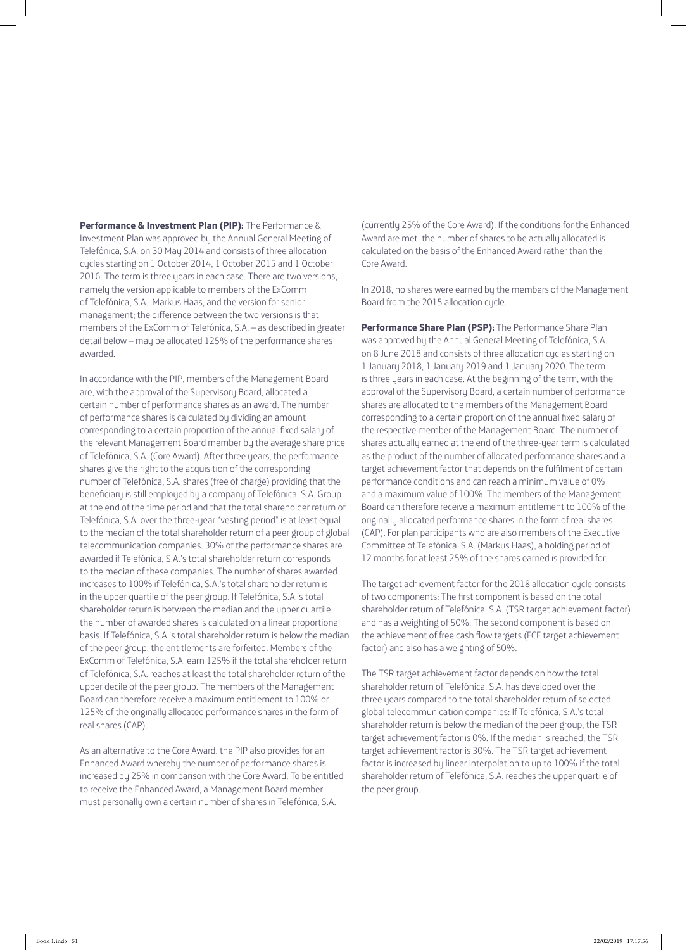**Performance & Investment Plan (PIP):** The Performance & Investment Plan was approved by the Annual General Meeting of Telefónica, S.A. on 30 May 2014 and consists of three allocation cycles starting on 1 October 2014, 1 October 2015 and 1 October 2016. The term is three years in each case. There are two versions, namely the version applicable to members of the ExComm of Telefónica, S.A., Markus Haas, and the version for senior management; the difference between the two versions is that members of the ExComm of Telefónica, S.A. – as described in greater detail below – may be allocated 125% of the performance shares awarded.

In accordance with the PIP, members of the Management Board are, with the approval of the Supervisory Board, allocated a certain number of performance shares as an award. The number of performance shares is calculated by dividing an amount corresponding to a certain proportion of the annual fixed salary of the relevant Management Board member by the average share price of Telefónica, S.A. (Core Award). After three years, the performance shares give the right to the acquisition of the corresponding number of Telefónica, S.A. shares (free of charge) providing that the beneficiary is still employed by a company of Telefónica, S.A. Group at the end of the time period and that the total shareholder return of Telefónica, S.A. over the three-year "vesting period" is at least equal to the median of the total shareholder return of a peer group of global telecommunication companies. 30% of the performance shares are awarded if Telefónica, S.A.'s total shareholder return corresponds to the median of these companies. The number of shares awarded increases to 100% if Telefónica, S.A.'s total shareholder return is in the upper quartile of the peer group. If Telefónica, S.A.'s total shareholder return is between the median and the upper quartile, the number of awarded shares is calculated on a linear proportional basis. If Telefónica, S.A.'s total shareholder return is below the median of the peer group, the entitlements are forfeited. Members of the ExComm of Telefónica, S.A. earn 125% if the total shareholder return of Telefónica, S.A. reaches at least the total shareholder return of the upper decile of the peer group. The members of the Management Board can therefore receive a maximum entitlement to 100% or 125% of the originally allocated performance shares in the form of real shares (CAP).

As an alternative to the Core Award, the PIP also provides for an Enhanced Award whereby the number of performance shares is increased by 25% in comparison with the Core Award. To be entitled to receive the Enhanced Award, a Management Board member must personally own a certain number of shares in Telefónica, S.A.

(currently 25% of the Core Award). If the conditions for the Enhanced Award are met, the number of shares to be actually allocated is calculated on the basis of the Enhanced Award rather than the Core Award.

In 2018, no shares were earned by the members of the Management Board from the 2015 allocation cycle.

**Performance Share Plan (PSP):** The Performance Share Plan was approved by the Annual General Meeting of Telefónica, S.A. on 8 June 2018 and consists of three allocation cycles starting on 1 January 2018, 1 January 2019 and 1 January 2020. The term is three years in each case. At the beginning of the term, with the approval of the Supervisory Board, a certain number of performance shares are allocated to the members of the Management Board corresponding to a certain proportion of the annual fixed salary of the respective member of the Management Board. The number of shares actually earned at the end of the three-year term is calculated as the product of the number of allocated performance shares and a target achievement factor that depends on the fulfilment of certain performance conditions and can reach a minimum value of 0% and a maximum value of 100%. The members of the Management Board can therefore receive a maximum entitlement to 100% of the originally allocated performance shares in the form of real shares (CAP). For plan participants who are also members of the Executive Committee of Telefónica, S.A. (Markus Haas), a holding period of 12 months for at least 25% of the shares earned is provided for.

The target achievement factor for the 2018 allocation cycle consists of two components: The first component is based on the total shareholder return of Telefónica, S.A. (TSR target achievement factor) and has a weighting of 50%. The second component is based on the achievement of free cash flow targets (FCF target achievement factor) and also has a weighting of 50%.

The TSR target achievement factor depends on how the total shareholder return of Telefónica, S.A. has developed over the three years compared to the total shareholder return of selected global telecommunication companies: If Telefónica, S.A.'s total shareholder return is below the median of the peer group, the TSR target achievement factor is 0%. If the median is reached, the TSR target achievement factor is 30%. The TSR target achievement factor is increased by linear interpolation to up to 100% if the total shareholder return of Telefónica, S.A. reaches the upper quartile of the peer group.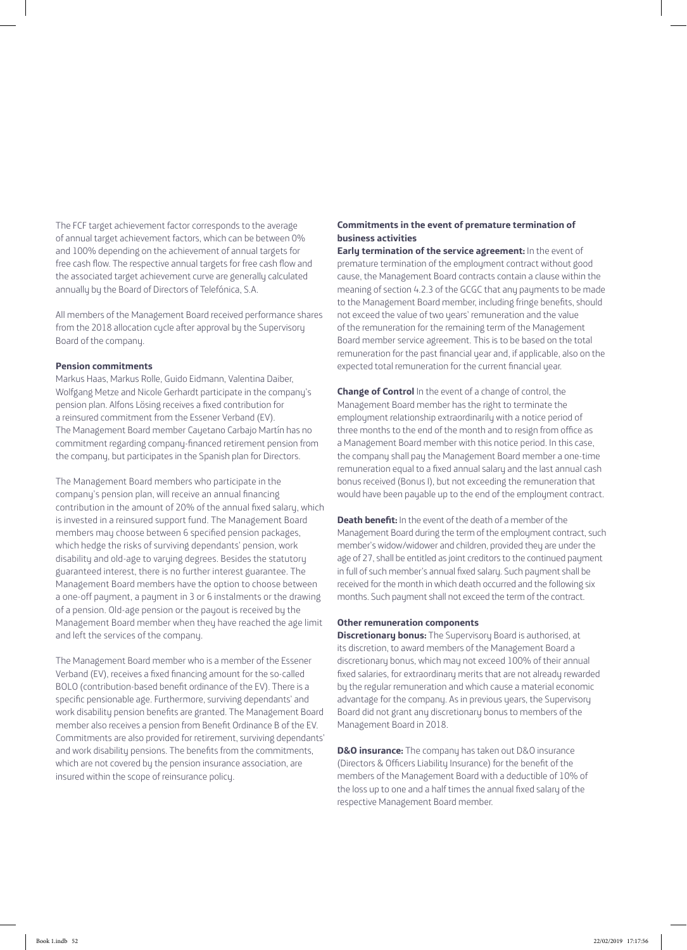The FCF target achievement factor corresponds to the average of annual target achievement factors, which can be between 0% and 100% depending on the achievement of annual targets for free cash flow. The respective annual targets for free cash flow and the associated target achievement curve are generally calculated annually by the Board of Directors of Telefónica, S.A.

All members of the Management Board received performance shares from the 2018 allocation cycle after approval by the Supervisory Board of the company.

#### **Pension commitments**

Markus Haas, Markus Rolle, Guido Eidmann, Valentina Daiber, Wolfgang Metze and Nicole Gerhardt participate in the company's pension plan. Alfons Lösing receives a fixed contribution for a reinsured commitment from the Essener Verband (EV). The Management Board member Cayetano Carbajo Martín has no commitment regarding company-financed retirement pension from the company, but participates in the Spanish plan for Directors.

The Management Board members who participate in the company's pension plan, will receive an annual financing contribution in the amount of 20% of the annual fixed salary, which is invested in a reinsured support fund. The Management Board members may choose between 6 specified pension packages, which hedge the risks of surviving dependants' pension, work disability and old-age to varying degrees. Besides the statutory guaranteed interest, there is no further interest guarantee. The Management Board members have the option to choose between a one-off payment, a payment in 3 or 6 instalments or the drawing of a pension. Old-age pension or the payout is received by the Management Board member when they have reached the age limit and left the services of the company.

The Management Board member who is a member of the Essener Verband (EV), receives a fixed financing amount for the so-called BOLO (contribution-based benefit ordinance of the EV). There is a specific pensionable age. Furthermore, surviving dependants' and work disability pension benefits are granted. The Management Board member also receives a pension from Benefit Ordinance B of the EV. Commitments are also provided for retirement, surviving dependants' and work disability pensions. The benefits from the commitments, which are not covered by the pension insurance association, are insured within the scope of reinsurance policy.

# **Commitments in the event of premature termination of business activities**

**Early termination of the service agreement:** In the event of premature termination of the employment contract without good cause, the Management Board contracts contain a clause within the meaning of section 4.2.3 of the GCGC that any payments to be made to the Management Board member, including fringe benefits, should not exceed the value of two years' remuneration and the value of the remuneration for the remaining term of the Management Board member service agreement. This is to be based on the total remuneration for the past financial year and, if applicable, also on the expected total remuneration for the current financial year.

**Change of Control** In the event of a change of control, the Management Board member has the right to terminate the employment relationship extraordinarily with a notice period of three months to the end of the month and to resign from office as a Management Board member with this notice period. In this case, the company shall pay the Management Board member a one-time remuneration equal to a fixed annual salary and the last annual cash bonus received (Bonus I), but not exceeding the remuneration that would have been payable up to the end of the employment contract.

**Death benefit:** In the event of the death of a member of the Management Board during the term of the employment contract, such member's widow/widower and children, provided they are under the age of 27, shall be entitled as joint creditors to the continued payment in full of such member's annual fixed salary. Such payment shall be received for the month in which death occurred and the following six months. Such payment shall not exceed the term of the contract.

#### **Other remuneration components**

**Discretionary bonus:** The Supervisory Board is authorised, at its discretion, to award members of the Management Board a discretionary bonus, which may not exceed 100% of their annual fixed salaries, for extraordinary merits that are not already rewarded by the regular remuneration and which cause a material economic advantage for the company. As in previous years, the Supervisory Board did not grant any discretionary bonus to members of the Management Board in 2018.

**D&O insurance:** The company has taken out D&O insurance (Directors & Officers Liability Insurance) for the benefit of the members of the Management Board with a deductible of 10% of the loss up to one and a half times the annual fixed salary of the respective Management Board member.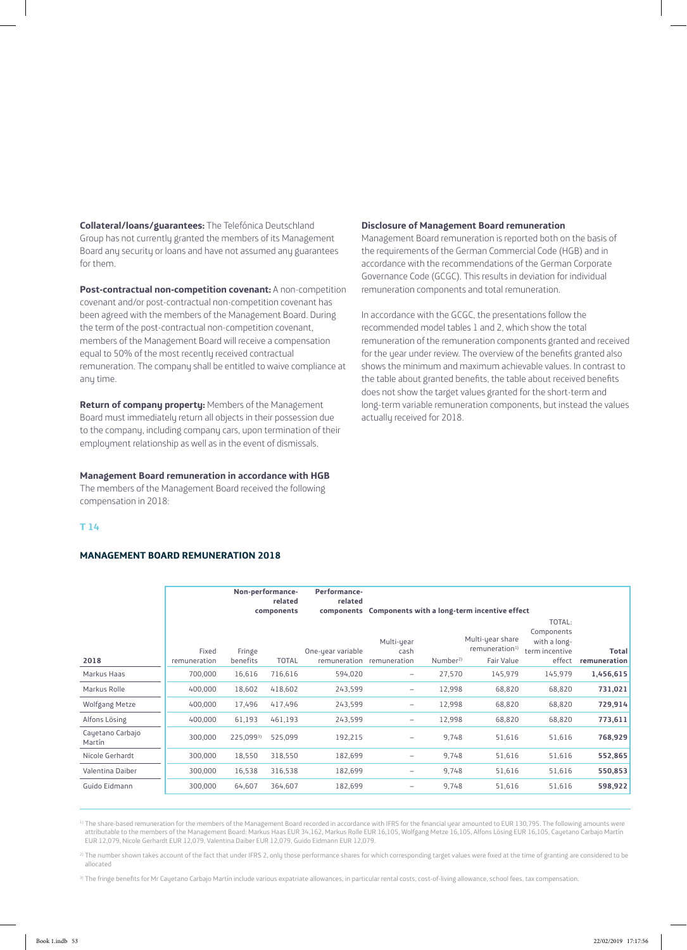**Collateral/loans/guarantees:** The Telefónica Deutschland Group has not currently granted the members of its Management Board any security or loans and have not assumed any guarantees for them.

**Post-contractual non-competition covenant:** A non-competition covenant and/or post-contractual non-competition covenant has been agreed with the members of the Management Board. During the term of the post-contractual non-competition covenant, members of the Management Board will receive a compensation equal to 50% of the most recently received contractual remuneration. The company shall be entitled to waive compliance at any time.

**Return of company property:** Members of the Management Board must immediately return all objects in their possession due to the company, including company cars, upon termination of their employment relationship as well as in the event of dismissals.

#### **Management Board remuneration in accordance with HGB**

The members of the Management Board received the following compensation in 2018:

# **T 14**

# **MANAGEMENT BOARD REMUNERATION 2018**

#### **Disclosure of Management Board remuneration**

Management Board remuneration is reported both on the basis of the requirements of the German Commercial Code (HGB) and in accordance with the recommendations of the German Corporate Governance Code (GCGC). This results in deviation for individual remuneration components and total remuneration.

In accordance with the GCGC, the presentations follow the recommended model tables 1 and 2, which show the total remuneration of the remuneration components granted and received for the year under review. The overview of the benefits granted also shows the minimum and maximum achievable values. In contrast to the table about granted benefits, the table about received benefits does not show the target values granted for the short-term and long-term variable remuneration components, but instead the values actually received for 2018.

|                            |                       |                    | Non-performance-<br>related<br>components | Performance-<br>related<br>components | Components with a long-term incentive effect |                     |                                                              |                                                                  |                       |
|----------------------------|-----------------------|--------------------|-------------------------------------------|---------------------------------------|----------------------------------------------|---------------------|--------------------------------------------------------------|------------------------------------------------------------------|-----------------------|
| 2018                       | Fixed<br>remuneration | Fringe<br>benefits | <b>TOTAL</b>                              | One-year variable<br>remuneration     | Multi-year<br>cash<br>remuneration           | Number <sup>2</sup> | Multi-year share<br>remuneration <sup>1)</sup><br>Fair Value | TOTAL:<br>Components<br>with a long-<br>term incentive<br>effect | Total<br>remuneration |
| Markus Haas                | 700,000               | 16,616             | 716,616                                   | 594,020                               | -                                            | 27,570              | 145,979                                                      | 145,979                                                          | 1,456,615             |
| Markus Rolle               | 400,000               | 18,602             | 418,602                                   | 243,599                               | $\qquad \qquad -$                            | 12,998              | 68,820                                                       | 68,820                                                           | 731,021               |
| Wolfgang Metze             | 400,000               | 17,496             | 417,496                                   | 243,599                               | -                                            | 12,998              | 68,820                                                       | 68,820                                                           | 729,914               |
| Alfons Lösing              | 400,000               | 61,193             | 461,193                                   | 243,599                               | $\overline{\phantom{0}}$                     | 12,998              | 68,820                                                       | 68,820                                                           | 773,611               |
| Cayetano Carbajo<br>Martín | 300,000               | 225,0993)          | 525,099                                   | 192,215                               | -                                            | 9,748               | 51,616                                                       | 51,616                                                           | 768,929               |
| Nicole Gerhardt            | 300,000               | 18,550             | 318,550                                   | 182,699                               | -                                            | 9,748               | 51,616                                                       | 51,616                                                           | 552,865               |
| Valentina Daiber           | 300,000               | 16,538             | 316,538                                   | 182,699                               | -                                            | 9,748               | 51,616                                                       | 51,616                                                           | 550,853               |
| Guido Eidmann              | 300,000               | 64,607             | 364,607                                   | 182,699                               | -                                            | 9,748               | 51,616                                                       | 51,616                                                           | 598,922               |

<sup>1)</sup> The share-based remuneration for the members of the Management Board recorded in accordance with IFRS for the financial year amounted to EUR 130,795. The following amounts were attributable to the members of the Management Board: Markus Haas EUR 34,162, Markus Rolle EUR 16,105, Wolfgang Metze 16,105, Alfons Lösing EUR 16,105, Cayetano Carbajo Martín EUR 12,079, Nicole Gerhardt EUR 12,079, Valentina Daiber EUR 12,079, Guido Eidmann EUR 12,079.

<sup>2)</sup> The number shown takes account of the fact that under IFRS 2, only those performance shares for which corresponding target values were fixed at the time of granting are considered to be allocated

<sup>3)</sup> The fringe benefits for Mr Cayetano Carbajo Martín include various expatriate allowances, in particular rental costs, cost-of-living allowance, school fees, tax compensation.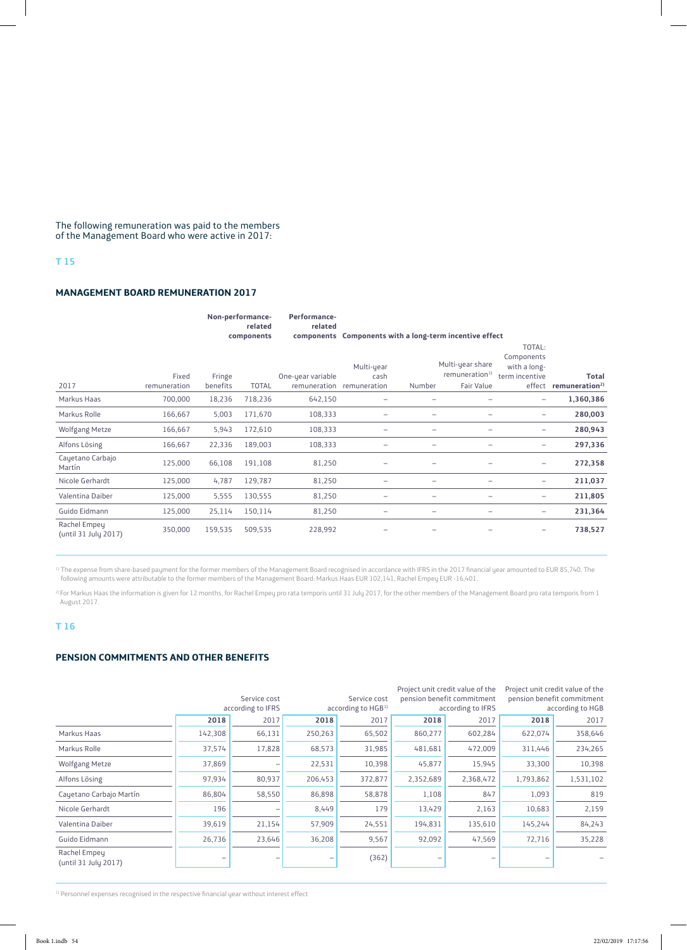The following remuneration was paid to the members of the Management Board who were active in 2017:

# **T 15**

#### **MANAGEMENT BOARD REMUNERATION 2017**

|                                      |                       |                    | Non-performance-<br>related<br>components | Performance-<br>related<br>components | Components with a long-term incentive effect    |        |                                                              |                                                        |                                                   |
|--------------------------------------|-----------------------|--------------------|-------------------------------------------|---------------------------------------|-------------------------------------------------|--------|--------------------------------------------------------------|--------------------------------------------------------|---------------------------------------------------|
| 2017                                 | Fixed<br>remuneration | Fringe<br>benefits | <b>TOTAL</b>                              | One-year variable                     | Multi-year<br>cash<br>remuneration remuneration | Number | Multi-year share<br>remuneration <sup>1)</sup><br>Fair Value | TOTAL:<br>Components<br>with a long-<br>term incentive | <b>Total</b><br>effect remuneration <sup>2)</sup> |
| Markus Haas                          | 700,000               | 18,236             | 718,236                                   | 642,150                               | $\overline{\phantom{m}}$                        | -      | $\overline{\phantom{0}}$                                     | $\overline{\phantom{m}}$                               | 1,360,386                                         |
| Markus Rolle                         | 166,667               | 5,003              | 171,670                                   | 108,333                               | $\overline{\phantom{a}}$                        | -      | -                                                            | -                                                      | 280,003                                           |
| Wolfgang Metze                       | 166,667               | 5,943              | 172,610                                   | 108,333                               | $\qquad \qquad -$                               | -      | -                                                            | -                                                      | 280,943                                           |
| Alfons Lösing                        | 166,667               | 22,336             | 189,003                                   | 108,333                               | $\qquad \qquad -$                               | -      | -                                                            | -                                                      | 297,336                                           |
| Cayetano Carbajo<br>Martín           | 125,000               | 66,108             | 191,108                                   | 81,250                                |                                                 | -      | -                                                            | $\qquad \qquad -$                                      | 272,358                                           |
| Nicole Gerhardt                      | 125,000               | 4,787              | 129,787                                   | 81,250                                | $\qquad \qquad -$                               | -      | -                                                            | $\overline{\phantom{m}}$                               | 211,037                                           |
| Valentina Daiber                     | 125,000               | 5,555              | 130,555                                   | 81,250                                | $\overline{\phantom{a}}$                        | -      | $\overline{\phantom{0}}$                                     | -                                                      | 211,805                                           |
| Guido Eidmann                        | 125,000               | 25,114             | 150,114                                   | 81,250                                | -                                               | -      | -                                                            | -                                                      | 231,364                                           |
| Rachel Empey<br>(until 31 July 2017) | 350,000               | 159,535            | 509,535                                   | 228,992                               |                                                 |        |                                                              | -                                                      | 738,527                                           |

 $^{\rm 1)}$  The expense from share-based payment for the former members of the Management Board recognised in accordance with IFRS in the 2017 financial year amounted to EUR 85,740. The following amounts were attributable to the former members of the Management Board: Markus Haas EUR 102,141, Rachel Empey EUR -16,401.

 $^{2}$  For Markus Haas the information is given for 12 months, for Rachel Empey pro rata temporis until 31 July 2017, for the other members of the Management Board pro rata temporis from 1 August 2017.

# **T 16**

# **PENSION COMMITMENTS AND OTHER BENEFITS**

|                                      | Service cost<br>according to IFRS |        | Service cost<br>according to HGB <sup>1)</sup> |         |           | Project unit credit value of the<br>pension benefit commitment<br>according to IFRS | Project unit credit value of the<br>pension benefit commitment<br>according to HGB |           |
|--------------------------------------|-----------------------------------|--------|------------------------------------------------|---------|-----------|-------------------------------------------------------------------------------------|------------------------------------------------------------------------------------|-----------|
|                                      | 2018                              | 2017   | 2018                                           | 2017    | 2018      | 2017                                                                                | 2018                                                                               | 2017      |
| Markus Haas                          | 142,308                           | 66,131 | 250,263                                        | 65,502  | 860,277   | 602,284                                                                             | 622,074                                                                            | 358,646   |
| Markus Rolle                         | 37,574                            | 17,828 | 68,573                                         | 31,985  | 481,681   | 472,009                                                                             | 311,446                                                                            | 234,265   |
| Wolfgang Metze                       | 37,869                            |        | 22,531                                         | 10,398  | 45,877    | 15,945                                                                              | 33,300                                                                             | 10,398    |
| Alfons Lösing                        | 97,934                            | 80,937 | 206,453                                        | 372,877 | 2,352,689 | 2,368,472                                                                           | 1,793,862                                                                          | 1,531,102 |
| Cayetano Carbajo Martín              | 86,804                            | 58,550 | 86,898                                         | 58,878  | 1,108     | 847                                                                                 | 1,093                                                                              | 819       |
| Nicole Gerhardt                      | 196                               |        | 8,449                                          | 179     | 13,429    | 2,163                                                                               | 10,683                                                                             | 2,159     |
| Valentina Daiber                     | 39,619                            | 21,154 | 57,909                                         | 24,551  | 194,831   | 135,610                                                                             | 145,244                                                                            | 84,243    |
| Guido Eidmann                        | 26,736                            | 23,646 | 36,208                                         | 9,567   | 92,092    | 47,569                                                                              | 72,716                                                                             | 35,228    |
| Rachel Empeu<br>(until 31 July 2017) |                                   |        |                                                | (362)   |           |                                                                                     |                                                                                    |           |

<sup>1)</sup> Personnel expenses recognised in the respective financial year without interest effect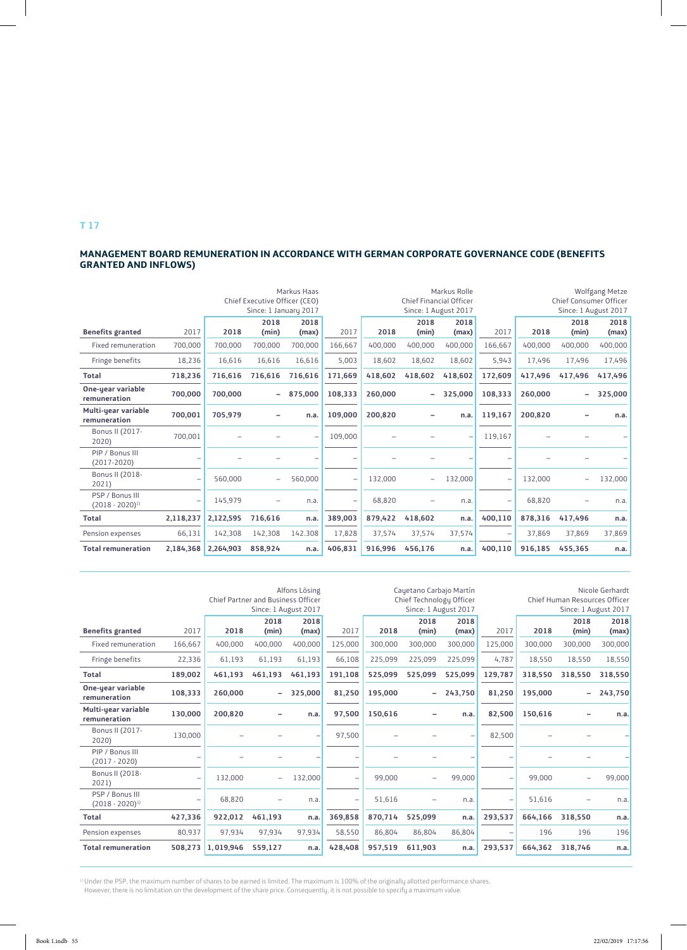#### **MANAGEMENT BOARD REMUNERATION IN ACCORDANCE WITH GERMAN CORPORATE GOVERNANCE CODE (BENEFITS GRANTED AND INFLOWS)**

|                                          |           |           | Chief Executive Officer (CEO)<br>Since: 1 January 2017 | Markus Haas   |                          | Markus Rolle<br><b>Chief Financial Officer</b><br>Since: 1 August 2017 |               |               |         | Wolfgang Metze<br><b>Chief Consumer Officer</b><br>Since: 1 August 2017 |                          |               |  |
|------------------------------------------|-----------|-----------|--------------------------------------------------------|---------------|--------------------------|------------------------------------------------------------------------|---------------|---------------|---------|-------------------------------------------------------------------------|--------------------------|---------------|--|
| <b>Benefits granted</b>                  | 2017      | 2018      | 2018<br>(min)                                          | 2018<br>(max) | 2017                     | 2018                                                                   | 2018<br>(min) | 2018<br>(max) | 2017    | 2018                                                                    | 2018<br>(min)            | 2018<br>(max) |  |
| Fixed remuneration                       | 700,000   | 700,000   | 700,000                                                | 700,000       | 166,667                  | 400,000                                                                | 400,000       | 400,000       | 166,667 | 400,000                                                                 | 400,000                  | 400,000       |  |
| Fringe benefits                          | 18,236    | 16,616    | 16,616                                                 | 16,616        | 5,003                    | 18,602                                                                 | 18,602        | 18,602        | 5,943   | 17,496                                                                  | 17,496                   | 17,496        |  |
| <b>Total</b>                             | 718,236   | 716,616   | 716,616                                                | 716,616       | 171.669                  | 418,602                                                                | 418,602       | 418.602       | 172,609 | 417,496                                                                 | 417,496                  | 417,496       |  |
| <b>One-year variable</b><br>remuneration | 700,000   | 700,000   | $\overline{\phantom{0}}$                               | 875,000       | 108.333                  | 260,000                                                                | -             | 325.000       | 108,333 | 260,000                                                                 | $\overline{\phantom{0}}$ | 325,000       |  |
| Multi-year variable<br>remuneration      | 700,001   | 705,979   |                                                        | n.a.          | 109,000                  | 200.820                                                                |               | n.a.          | 119,167 | 200,820                                                                 |                          | n.a.          |  |
| Bonus II (2017-<br>2020)                 | 700,001   |           |                                                        | -             | 109,000                  |                                                                        |               |               | 119,167 |                                                                         |                          |               |  |
| PIP / Bonus III<br>$(2017 - 2020)$       |           |           |                                                        |               |                          |                                                                        |               |               |         |                                                                         |                          |               |  |
| Bonus II (2018-<br>2021)                 |           | 560,000   |                                                        | 560,000       | $\overline{\phantom{0}}$ | 132,000                                                                |               | 132,000       | ÷       | 132,000                                                                 |                          | 132,000       |  |
| PSP / Bonus III<br>$(2018 - 2020)^{1}$   |           | 145,979   | -                                                      | n.a.          | -                        | 68,820                                                                 | -             | n.a.          | ۳       | 68,820                                                                  |                          | n.a.          |  |
| <b>Total</b>                             | 2,118,237 | 2,122,595 | 716,616                                                | n.a.          | 389,003                  | 879,422                                                                | 418,602       | n.a.          | 400,110 | 878,316                                                                 | 417,496                  | n.a.          |  |
| Pension expenses                         | 66,131    | 142.308   | 142,308                                                | 142.308       | 17,828                   | 37,574                                                                 | 37,574        | 37,574        | ۳       | 37.869                                                                  | 37.869                   | 37,869        |  |
| <b>Total remuneration</b>                | 2,184,368 | 2,264,903 | 858,924                                                | n.a.          | 406,831                  | 916.996                                                                | 456,176       | n.a.          | 400,110 | 916,185                                                                 | 455.365                  | n.a.          |  |

|                                        |         |           | Alfons Lösing<br><b>Chief Partner and Business Officer</b><br>Since: 1 August 2017 |               |         |         | Cauetano Carbajo Martín<br>Chief Technology Officer<br>Since: 1 August 2017 |               |         |         | Nicole Gerhardt<br>Chief Human Resources Officer<br>Since: 1 August 2017 |               |  |  |
|----------------------------------------|---------|-----------|------------------------------------------------------------------------------------|---------------|---------|---------|-----------------------------------------------------------------------------|---------------|---------|---------|--------------------------------------------------------------------------|---------------|--|--|
| <b>Benefits granted</b>                | 2017    | 2018      | 2018<br>(min)                                                                      | 2018<br>(max) | 2017    | 2018    | 2018<br>(min)                                                               | 2018<br>(max) | 2017    | 2018    | 2018<br>(min)                                                            | 2018<br>(max) |  |  |
| Fixed remuneration                     | 166,667 | 400,000   | 400.000                                                                            | 400,000       | 125,000 | 300,000 | 300,000                                                                     | 300,000       | 125,000 | 300,000 | 300,000                                                                  | 300,000       |  |  |
| Fringe benefits                        | 22,336  | 61,193    | 61,193                                                                             | 61,193        | 66,108  | 225,099 | 225,099                                                                     | 225,099       | 4,787   | 18,550  | 18,550                                                                   | 18,550        |  |  |
| <b>Total</b>                           | 189,002 | 461.193   | 461.193                                                                            | 461.193       | 191,108 | 525,099 | 525.099                                                                     | 525.099       | 129,787 | 318,550 | 318,550                                                                  | 318,550       |  |  |
| One-year variable<br>remuneration      | 108,333 | 260,000   | $\overline{\phantom{0}}$                                                           | 325.000       | 81,250  | 195,000 | -                                                                           | 243,750       | 81,250  | 195,000 |                                                                          | 243,750       |  |  |
| Multi-year variable<br>remuneration    | 130.000 | 200.820   | -                                                                                  | n.a.          | 97.500  | 150,616 | -                                                                           | n.a.          | 82,500  | 150.616 |                                                                          | n.a.          |  |  |
| Bonus II (2017-<br>2020)               | 130,000 |           |                                                                                    | -             | 97,500  |         |                                                                             |               | 82,500  |         |                                                                          |               |  |  |
| PIP / Bonus III<br>$(2017 - 2020)$     |         |           |                                                                                    |               |         |         |                                                                             |               |         |         |                                                                          |               |  |  |
| Bonus II (2018-<br>2021)               |         | 132,000   |                                                                                    | 132,000       |         | 99,000  |                                                                             | 99,000        | -       | 99,000  |                                                                          | 99,000        |  |  |
| PSP / Bonus III<br>$(2018 - 2020)^{1}$ |         | 68,820    |                                                                                    | n.a.          |         | 51,616  |                                                                             | n.a.          | ۳       | 51,616  |                                                                          | n.a.          |  |  |
| <b>Total</b>                           | 427,336 | 922,012   | 461,193                                                                            | n.a.          | 369,858 | 870,714 | 525.099                                                                     | n.a.          | 293,537 | 664,166 | 318,550                                                                  | n.a.          |  |  |
| Pension expenses                       | 80,937  | 97,934    | 97.934                                                                             | 97,934        | 58,550  | 86.804  | 86.804                                                                      | 86,804        |         | 196     | 196                                                                      | 196           |  |  |
| <b>Total remuneration</b>              | 508,273 | 1,019,946 | 559,127                                                                            | n.a.          | 428,408 | 957,519 | 611,903                                                                     | n.a.          | 293,537 | 664,362 | 318,746                                                                  | n.a.          |  |  |

<sup>1)</sup> Under the PSP, the maximum number of shares to be earned is limited. The maximum is 100% of the originally allotted performance shares.

However, there is no limitation on the development of the share price. Consequently, it is not possible to specify a maximum value.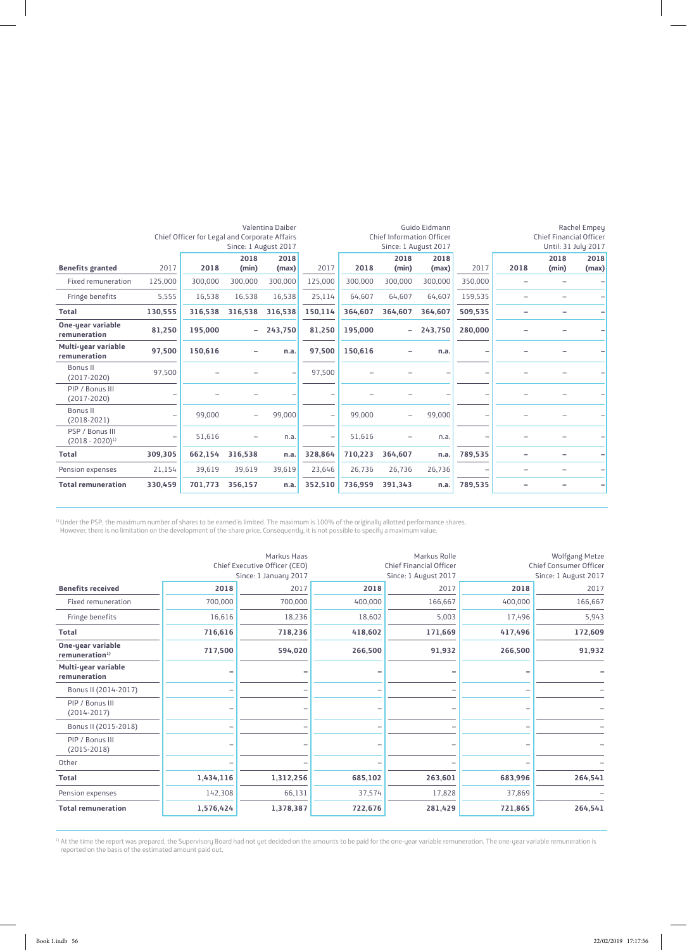|                                        |         |                                               |                          | Valentina Daiber     | Guido Eidmann            |         |                                  |                      | Rachel Empey |      |                                |       |
|----------------------------------------|---------|-----------------------------------------------|--------------------------|----------------------|--------------------------|---------|----------------------------------|----------------------|--------------|------|--------------------------------|-------|
|                                        |         | Chief Officer for Legal and Corporate Affairs |                          |                      |                          |         | <b>Chief Information Officer</b> |                      |              |      | <b>Chief Financial Officer</b> |       |
|                                        |         |                                               |                          | Since: 1 August 2017 |                          |         |                                  | Since: 1 August 2017 |              |      | Until: 31 July 2017            |       |
|                                        |         |                                               | 2018                     | 2018                 |                          |         | 2018                             | 2018                 |              |      | 2018                           | 2018  |
| <b>Benefits granted</b>                | 2017    | 2018                                          | (min)                    | (max)                | 2017                     | 2018    | (min)                            | (max)                | 2017         | 2018 | (min)                          | (max) |
| <b>Fixed remuneration</b>              | 125,000 | 300,000                                       | 300.000                  | 300,000              | 125,000                  | 300,000 | 300,000                          | 300,000              | 350,000      |      |                                |       |
| Fringe benefits                        | 5,555   | 16,538                                        | 16,538                   | 16,538               | 25,114                   | 64.607  | 64,607                           | 64,607               | 159,535      |      |                                |       |
| <b>Total</b>                           | 130,555 | 316,538                                       | 316,538                  | 316,538              | 150,114                  | 364,607 | 364,607                          | 364,607              | 509,535      |      |                                |       |
| One-year variable<br>remuneration      | 81,250  | 195,000                                       | Ξ.                       | 243,750              | 81,250                   | 195,000 |                                  | 243,750              | 280,000      |      |                                |       |
| Multi-year variable<br>remuneration    | 97,500  | 150,616                                       |                          | n.a.                 | 97,500                   | 150,616 |                                  | n.a.                 | ۰            |      |                                |       |
| <b>Bonus II</b><br>$(2017-2020)$       | 97,500  |                                               |                          | -                    | 97,500                   |         |                                  |                      | ۰            |      |                                |       |
| PIP / Bonus III<br>$(2017 - 2020)$     |         |                                               |                          |                      |                          |         |                                  |                      | ۰            |      |                                |       |
| Bonus II<br>$(2018-2021)$              | -       | 99,000                                        | $\overline{\phantom{0}}$ | 99,000               |                          | 99,000  | -                                | 99,000               | -            |      |                                |       |
| PSP / Bonus III<br>$(2018 - 2020)^{1}$ |         | 51,616                                        |                          | n.a.                 | $\overline{\phantom{a}}$ | 51,616  |                                  | n.a.                 | ۰            |      |                                |       |
| <b>Total</b>                           | 309,305 | 662,154                                       | 316,538                  | n.a.                 | 328,864                  | 710,223 | 364,607                          | n.a.                 | 789,535      |      |                                |       |
| Pension expenses                       | 21,154  | 39,619                                        | 39,619                   | 39,619               | 23,646                   | 26,736  | 26,736                           | 26,736               |              |      |                                |       |
| <b>Total remuneration</b>              | 330,459 | 701,773                                       | 356,157                  | n.a.                 | 352,510                  | 736,959 | 391,343                          | n.a.                 | 789,535      |      |                                | -     |

 $^{1)}$ Under the PSP, the maximum number of shares to be earned is limited. The maximum is 100% of the originally allotted performance shares. However, there is no limitation on the development of the share price. Consequently, it is not possible to specify a maximum value.

|                                                 |           | Markus Haas<br>Chief Executive Officer (CEO)<br>Since: 1 January 2017 |         | Markus Rolle<br><b>Chief Financial Officer</b><br>Since: 1 August 2017 |         | Wolfgang Metze<br>Chief Consumer Officer<br>Since: 1 August 2017 |
|-------------------------------------------------|-----------|-----------------------------------------------------------------------|---------|------------------------------------------------------------------------|---------|------------------------------------------------------------------|
| <b>Benefits received</b>                        | 2018      | 2017                                                                  | 2018    | 2017                                                                   | 2018    | 2017                                                             |
| Fixed remuneration                              | 700,000   | 700,000                                                               | 400,000 | 166,667                                                                | 400,000 | 166,667                                                          |
| Fringe benefits                                 | 16,616    | 18,236                                                                | 18,602  | 5,003                                                                  | 17,496  | 5,943                                                            |
| <b>Total</b>                                    | 716,616   | 718,236                                                               | 418,602 | 171,669                                                                | 417,496 | 172,609                                                          |
| One-year variable<br>remuneration <sup>1)</sup> | 717,500   | 594,020                                                               | 266,500 | 91,932                                                                 | 266,500 | 91,932                                                           |
| Multi-year variable<br>remuneration             | -         |                                                                       |         |                                                                        |         |                                                                  |
| Bonus II (2014-2017)                            |           |                                                                       |         |                                                                        |         |                                                                  |
| PIP / Bonus III<br>$(2014 - 2017)$              |           |                                                                       |         |                                                                        |         |                                                                  |
| Bonus II (2015-2018)                            |           |                                                                       |         |                                                                        |         |                                                                  |
| PIP / Bonus III<br>$(2015-2018)$                |           |                                                                       |         |                                                                        |         |                                                                  |
| Other                                           |           |                                                                       |         |                                                                        |         |                                                                  |
| <b>Total</b>                                    | 1,434,116 | 1,312,256                                                             | 685,102 | 263,601                                                                | 683,996 | 264,541                                                          |
| Pension expenses                                | 142,308   | 66,131                                                                | 37,574  | 17,828                                                                 | 37,869  |                                                                  |
| <b>Total remuneration</b>                       | 1,576,424 | 1,378,387                                                             | 722,676 | 281,429                                                                | 721,865 | 264,541                                                          |

<sup>1)</sup> At the time the report was prepared, the Supervisory Board had not yet decided on the amounts to be paid for the one-year variable remuneration. The one-year variable remuneration is reported on the basis of the estimated amount paid out.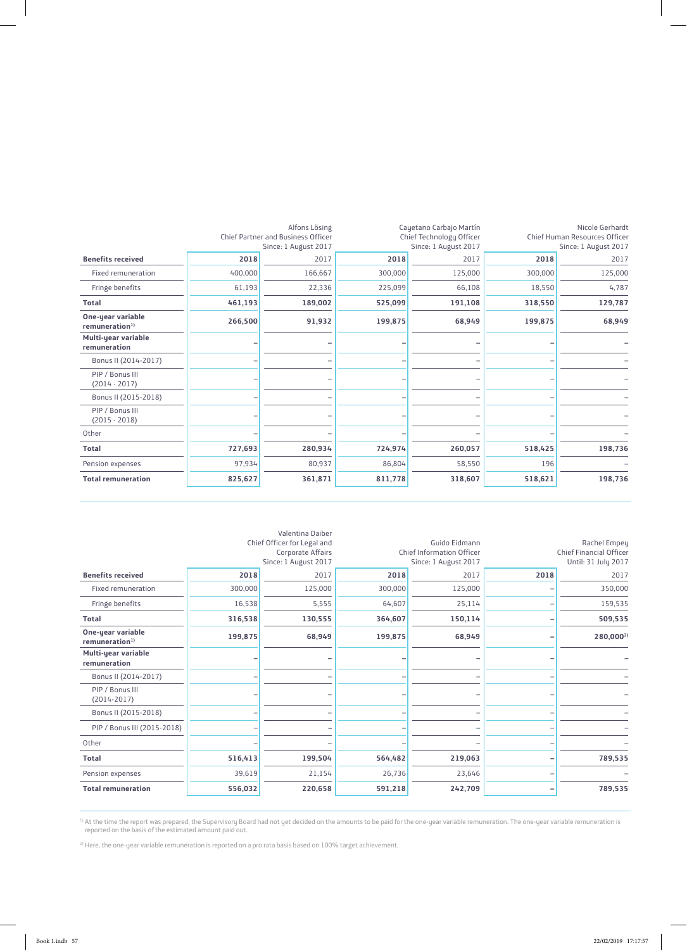|                                                 |         | Alfons Lösing                                              |         | Cayetano Carbajo Martín                          |         | Nicole Gerhardt                                       |
|-------------------------------------------------|---------|------------------------------------------------------------|---------|--------------------------------------------------|---------|-------------------------------------------------------|
|                                                 |         | Chief Partner and Business Officer<br>Since: 1 August 2017 |         | Chief Technology Officer<br>Since: 1 August 2017 |         | Chief Human Resources Officer<br>Since: 1 August 2017 |
| <b>Benefits received</b>                        | 2018    | 2017                                                       | 2018    | 2017                                             | 2018    | 2017                                                  |
| <b>Fixed remuneration</b>                       | 400,000 | 166,667                                                    | 300,000 | 125,000                                          | 300,000 | 125,000                                               |
| Fringe benefits                                 | 61,193  | 22,336                                                     | 225,099 | 66,108                                           | 18,550  | 4,787                                                 |
| <b>Total</b>                                    | 461,193 | 189,002                                                    | 525,099 | 191,108                                          | 318,550 | 129,787                                               |
| One-year variable<br>remuneration <sup>1)</sup> | 266,500 | 91,932                                                     | 199,875 | 68,949                                           | 199,875 | 68,949                                                |
| Multi-year variable<br>remuneration             |         |                                                            |         |                                                  |         |                                                       |
| Bonus II (2014-2017)                            |         |                                                            |         |                                                  |         |                                                       |
| PIP / Bonus III<br>$(2014 - 2017)$              |         |                                                            |         |                                                  |         |                                                       |
| Bonus II (2015-2018)                            |         |                                                            |         |                                                  |         |                                                       |
| PIP / Bonus III<br>$(2015 - 2018)$              |         |                                                            |         |                                                  |         |                                                       |
| Other                                           |         |                                                            |         |                                                  |         |                                                       |
| <b>Total</b>                                    | 727,693 | 280,934                                                    | 724,974 | 260,057                                          | 518,425 | 198,736                                               |
| Pension expenses                                | 97,934  | 80,937                                                     | 86,804  | 58,550                                           | 196     |                                                       |
| <b>Total remuneration</b>                       | 825,627 | 361,871                                                    | 811,778 | 318,607                                          | 518,621 | 198,736                                               |

|                                                 |         | Valentina Daiber<br>Chief Officer for Legal and |         | Guido Eidmann                                     |      | Rachel Empey                                          |
|-------------------------------------------------|---------|-------------------------------------------------|---------|---------------------------------------------------|------|-------------------------------------------------------|
|                                                 |         | Corporate Affairs<br>Since: 1 August 2017       |         | Chief Information Officer<br>Since: 1 August 2017 |      | <b>Chief Financial Officer</b><br>Until: 31 July 2017 |
| <b>Benefits received</b>                        | 2018    | 2017                                            | 2018    | 2017                                              | 2018 | 2017                                                  |
| Fixed remuneration                              | 300,000 | 125,000                                         | 300,000 | 125,000                                           |      | 350,000                                               |
| Fringe benefits                                 | 16,538  | 5,555                                           | 64,607  | 25,114                                            |      | 159,535                                               |
| <b>Total</b>                                    | 316,538 | 130,555                                         | 364,607 | 150,114                                           |      | 509,535                                               |
| One-year variable<br>remuneration <sup>1)</sup> | 199,875 | 68,949                                          | 199,875 | 68,949                                            |      | 280,000 <sup>2)</sup>                                 |
| Multi-year variable<br>remuneration             |         |                                                 |         |                                                   |      |                                                       |
| Bonus II (2014-2017)                            |         |                                                 |         |                                                   |      |                                                       |
| PIP / Bonus III<br>$(2014 - 2017)$              |         |                                                 |         |                                                   |      |                                                       |
| Bonus II (2015-2018)                            |         |                                                 |         |                                                   |      |                                                       |
| PIP / Bonus III (2015-2018)                     |         |                                                 |         |                                                   |      |                                                       |
| Other                                           |         |                                                 |         |                                                   |      |                                                       |
| <b>Total</b>                                    | 516,413 | 199,504                                         | 564,482 | 219,063                                           |      | 789,535                                               |
| Pension expenses                                | 39,619  | 21,154                                          | 26,736  | 23,646                                            |      |                                                       |
| <b>Total remuneration</b>                       | 556,032 | 220,658                                         | 591,218 | 242,709                                           |      | 789,535                                               |

<sup>1)</sup> At the time the report was prepared, the Supervisory Board had not yet decided on the amounts to be paid for the one-year variable remuneration. The one-year variable remuneration is reported on the basis of the estimated amount paid out.

<sup>2)</sup> Here, the one-year variable remuneration is reported on a pro rata basis based on 100% target achievement.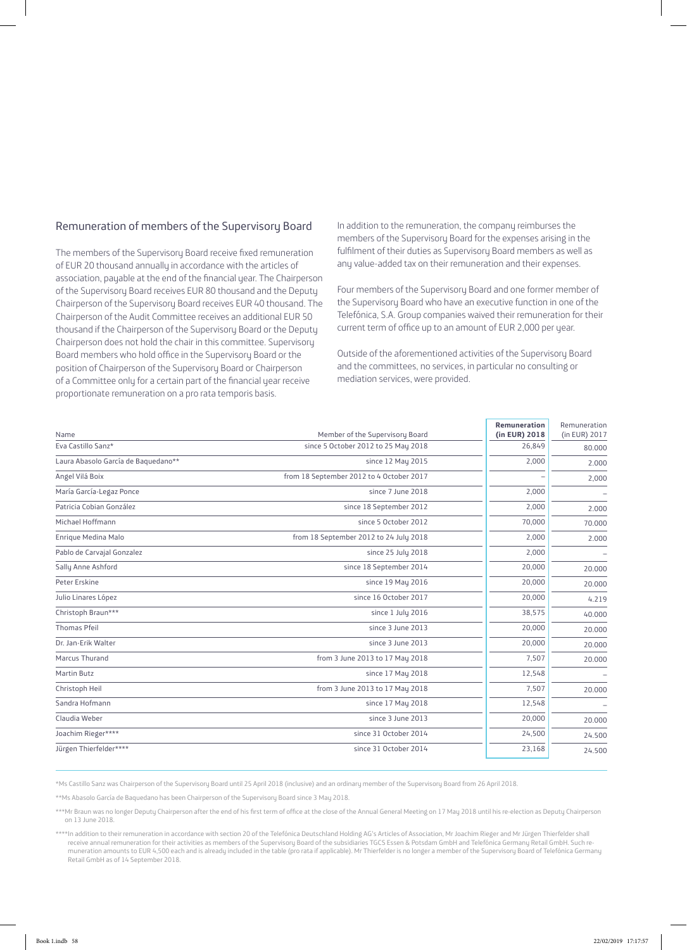# Remuneration of members of the Supervisory Board

The members of the Supervisory Board receive fixed remuneration of EUR 20 thousand annually in accordance with the articles of association, payable at the end of the financial year. The Chairperson of the Supervisory Board receives EUR 80 thousand and the Deputy Chairperson of the Supervisory Board receives EUR 40 thousand. The Chairperson of the Audit Committee receives an additional EUR 50 thousand if the Chairperson of the Supervisory Board or the Deputy Chairperson does not hold the chair in this committee. Supervisory Board members who hold office in the Supervisory Board or the position of Chairperson of the Supervisory Board or Chairperson of a Committee only for a certain part of the financial year receive proportionate remuneration on a pro rata temporis basis.

In addition to the remuneration, the company reimburses the members of the Supervisory Board for the expenses arising in the fulfilment of their duties as Supervisory Board members as well as any value-added tax on their remuneration and their expenses.

Four members of the Supervisory Board and one former member of the Supervisory Board who have an executive function in one of the Telefónica, S.A. Group companies waived their remuneration for their current term of office up to an amount of EUR 2,000 per year.

Outside of the aforementioned activities of the Supervisory Board and the committees, no services, in particular no consulting or mediation services, were provided.

| Name                                | Member of the Supervisory Board          | <b>Remuneration</b><br>(in EUR) 2018 | Remuneration<br>(in EUR) 2017 |
|-------------------------------------|------------------------------------------|--------------------------------------|-------------------------------|
| Eva Castillo Sanz*                  | since 5 October 2012 to 25 May 2018      | 26,849                               | 80.000                        |
| Laura Abasolo García de Baquedano** | since 12 May 2015                        | 2,000                                | 2.000                         |
| Angel Vilá Boix                     | from 18 September 2012 to 4 October 2017 |                                      | 2,000                         |
| María García-Legaz Ponce            | since 7 June 2018                        | 2,000                                |                               |
| Patricia Cobian González            | since 18 September 2012                  | 2,000                                | 2.000                         |
| Michael Hoffmann                    | since 5 October 2012                     | 70,000                               | 70.000                        |
| Enrique Medina Malo                 | from 18 September 2012 to 24 July 2018   | 2,000                                | 2.000                         |
| Pablo de Carvajal Gonzalez          | since 25 July 2018                       | 2,000                                |                               |
| Sally Anne Ashford                  | since 18 September 2014                  | 20,000                               | 20.000                        |
| Peter Erskine                       | since 19 May 2016                        | 20,000                               | 20,000                        |
| Julio Linares López                 | since 16 October 2017                    | 20,000                               | 4.219                         |
| Christoph Braun***                  | since 1 July 2016                        | 38,575                               | 40.000                        |
| <b>Thomas Pfeil</b>                 | since 3 June 2013                        | 20,000                               | 20,000                        |
| Dr. Jan-Erik Walter                 | since 3 June 2013                        | 20,000                               | 20.000                        |
| Marcus Thurand                      | from 3 June 2013 to 17 May 2018          | 7,507                                | 20.000                        |
| <b>Martin Butz</b>                  | since 17 May 2018                        | 12,548                               |                               |
| Christoph Heil                      | from 3 June 2013 to 17 May 2018          | 7,507                                | 20.000                        |
| Sandra Hofmann                      | since 17 May 2018                        | 12,548                               |                               |
| Claudia Weber                       | since 3 June 2013                        | 20,000                               | 20.000                        |
| Joachim Rieger****                  | since 31 October 2014                    | 24,500                               | 24.500                        |
| Jürgen Thierfelder****              | since 31 October 2014                    | 23,168                               | 24.500                        |

\*Ms Castillo Sanz was Chairperson of the Supervisory Board until 25 April 2018 (inclusive) and an ordinary member of the Supervisory Board from 26 April 2018.

\*\*Ms Abasolo García de Baquedano has been Chairperson of the Supervisory Board since 3 May 2018.

\*\*\*Mr Braun was no longer Deputy Chairperson after the end of his first term of office at the close of the Annual General Meeting on 17 May 2018 until his re-election as Deputy Chairperson on 13 June 2018.

\*\*\*\*In addition to their remuneration in accordance with section 20 of the Telefónica Deutschland Holding AG's Articles of Association, Mr Joachim Rieger and Mr Jürgen Thierfelder shall receive annual remuneration for their activities as members of the Supervisory Board of the subsidiaries TGCS Essen & Potsdam GmbH and Telefónica Germany Retail GmbH. Such remuneration amounts to EUR 4,500 each and is already included in the table (pro rata if applicable). Mr Thierfelder is no longer a member of the Supervisory Board of Telefónica Germany Retail GmbH as of 14 September 2018.